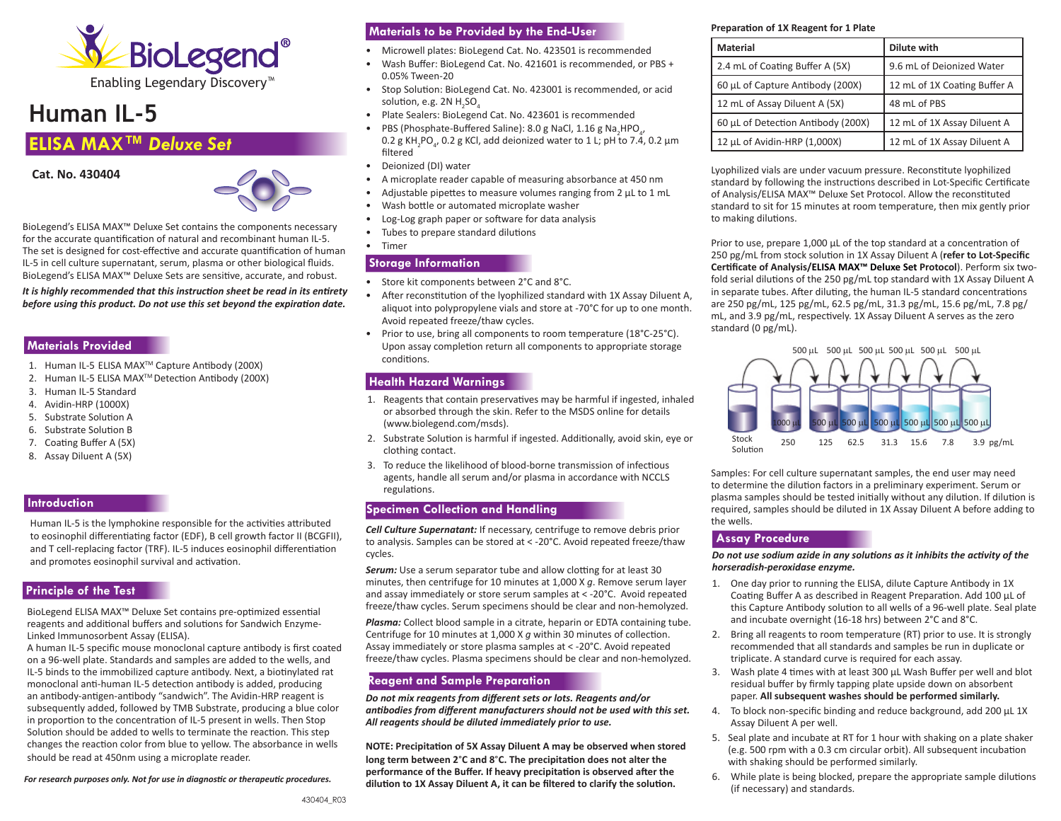

# **Human IL-5**

# **ELISA MAX™** *Deluxe Set*





BioLegend's ELISA MAX™ Deluxe Set contains the components necessary for the accurate quantification of natural and recombinant human IL-5. The set is designed for cost-effective and accurate quantification of human IL-5 in cell culture supernatant, serum, plasma or other biological fluids. BioLegend's ELISA MAX™ Deluxe Sets are sensitive, accurate, and robust.

*It is highly recommended that this instruction sheet be read in its entirety before using this product. Do not use this set beyond the expiration date.*

# **Materials Provided**

- 1. Human IL-5 ELISA MAX™ Capture Antibody (200X)
- 2. Human IL-5 ELISA MAX™ Detection Antibody (200X)
- 3. Human IL-5 Standard
- 4. Avidin-HRP (1000X)
- 5. Substrate Solution A
- 6. Substrate Solution B
- 7. Coating Buffer A (5X)
- 8. Assay Diluent A (5X)

# **Introduction**

Human IL-5 is the lymphokine responsible for the activities attributed to eosinophil differentiating factor (EDF), B cell growth factor II (BCGFII), and T cell-replacing factor (TRF). IL-5 induces eosinophil differentiation and promotes eosinophil survival and activation.

# **Principle of the Test**

BioLegend ELISA MAX™ Deluxe Set contains pre-optimized essential reagents and additional buffers and solutions for Sandwich Enzyme-Linked Immunosorbent Assay (ELISA).

A human IL-5 specific mouse monoclonal capture antibody is first coated on a 96-well plate. Standards and samples are added to the wells, and IL-5 binds to the immobilized capture antibody. Next, a biotinylated rat monoclonal anti-human IL-5 detection antibody is added, producing an antibody-antigen-antibody "sandwich". The Avidin-HRP reagent is subsequently added, followed by TMB Substrate, producing a blue color in proportion to the concentration of IL-5 present in wells. Then Stop Solution should be added to wells to terminate the reaction. This step changes the reaction color from blue to yellow. The absorbance in wells should be read at 450nm using a microplate reader.

*For research purposes only. Not for use in diagnostic or therapeutic procedures.*

# **Materials to be Provided by the End-User**

- Microwell plates: BioLegend Cat. No. 423501 is recommended
- Wash Buffer: BioLegend Cat. No. 421601 is recommended, or PBS + 0.05% Tween-20
- Stop Solution: BioLegend Cat. No. 423001 is recommended, or acid solution, e.g. 2N  $H_2$ SO $_4$
- Plate Sealers: BioLegend Cat. No. 423601 is recommended

• PBS (Phosphate-Buffered Saline): 8.0 g NaCl, 1.16 g Na<sub>2</sub>HPO<sub>4</sub>,  $0.2$  g KH<sub>2</sub>PO<sub>4</sub>, 0.2 g KCl, add deionized water to 1 L; pH to 7.4, 0.2 μm filtered

- Deionized (DI) water
- A microplate reader capable of measuring absorbance at 450 nm
- Adjustable pipettes to measure volumes ranging from 2 μL to 1 mL
- Wash bottle or automated microplate washer
- Log-Log graph paper or software for data analysis
- Tubes to prepare standard dilutions
- Timer

# **Storage Information**

- Store kit components between 2°C and 8°C.
- After reconstitution of the lyophilized standard with 1X Assay Diluent A, aliquot into polypropylene vials and store at -70°C for up to one month. Avoid repeated freeze/thaw cycles.
- Prior to use, bring all components to room temperature (18°C-25°C). Upon assay completion return all components to appropriate storage conditions.

### **Health Hazard Warnings**

- 1. Reagents that contain preservatives may be harmful if ingested, inhaled or absorbed through the skin. Refer to the MSDS online for details ([www.biolegend.com/msds](http://www.biolegend.com/msds)).
- 2. Substrate Solution is harmful if ingested. Additionally, avoid skin, eye or clothing contact.
- 3. To reduce the likelihood of blood-borne transmission of infectious agents, handle all serum and/or plasma in accordance with NCCLS regulations.

# **Specimen Collection and Handling**

*Cell Culture Supernatant:* If necessary, centrifuge to remove debris prior to analysis. Samples can be stored at < -20°C. Avoid repeated freeze/thaw cycles.

**Serum:** Use a serum separator tube and allow clotting for at least 30 minutes, then centrifuge for 10 minutes at 1,000 X *g*. Remove serum layer and assay immediately or store serum samples at < -20°C. Avoid repeated freeze/thaw cycles. Serum specimens should be clear and non-hemolyzed.

*Plasma:* Collect blood sample in a citrate, heparin or EDTA containing tube. Centrifuge for 10 minutes at 1,000 X *g* within 30 minutes of collection. Assay immediately or store plasma samples at < -20°C. Avoid repeated freeze/thaw cycles. Plasma specimens should be clear and non-hemolyzed.

# **Reagent and Sample Preparation**

*Do not mix reagents from different sets or lots. Reagents and/or antibodies from different manufacturers should not be used with this set. All reagents should be diluted immediately prior to use.* 

**NOTE: Precipitation of 5X Assay Diluent A may be observed when stored long term between 2**°**C and 8**°**C. The precipitation does not alter the performance of the Buffer. If heavy precipitation is observed after the dilution to 1X Assay Diluent A, it can be filtered to clarify the solution.**

#### **Preparation of 1X Reagent for 1 Plate**

| Material                           | Dilute with                  |
|------------------------------------|------------------------------|
| 2.4 mL of Coating Buffer A (5X)    | 9.6 mL of Deionized Water    |
| 60 µL of Capture Antibody (200X)   | 12 mL of 1X Coating Buffer A |
| 12 mL of Assay Diluent A (5X)      | 48 mL of PBS                 |
| 60 µL of Detection Antibody (200X) | 12 mL of 1X Assay Diluent A  |
| 12 µL of Avidin-HRP (1,000X)       | 12 mL of 1X Assay Diluent A  |

Lyophilized vials are under vacuum pressure. Reconstitute lyophilized standard by following the instructions described in Lot-Specific Certificate of Analysis/ELISA MAX™ Deluxe Set Protocol. Allow the reconstituted standard to sit for 15 minutes at room temperature, then mix gently prior to making dilutions.

Prior to use, prepare 1,000 μL of the top standard at a concentration of 250 pg/mL from stock solution in 1X Assay Diluent A (**refer to Lot-Specific Certificate of Analysis/ELISA MAX™ Deluxe Set Protocol**). Perform six twofold serial dilutions of the 250 pg/mL top standard with 1X Assay Diluent A in separate tubes. After diluting, the human IL-5 standard concentrations are 250 pg/mL, 125 pg/mL, 62.5 pg/mL, 31.3 pg/mL, 15.6 pg/mL, 7.8 pg/ mL, and 3.9 pg/mL, respectively. 1X Assay Diluent A serves as the zero standard (0 pg/mL).



Samples: For cell culture supernatant samples, the end user may need to determine the dilution factors in a preliminary experiment. Serum or plasma samples should be tested initially without any dilution. If dilution is required, samples should be diluted in 1X Assay Diluent A before adding to the wells.

# **Assay Procedure**

*Do not use sodium azide in any solutions as it inhibits the activity of the horseradish-peroxidase enzyme.* 

- 1. One day prior to running the ELISA, dilute Capture Antibody in 1X Coating Buffer A as described in Reagent Preparation. Add 100 μL of this Capture Antibody solution to all wells of a 96-well plate. Seal plate and incubate overnight (16-18 hrs) between 2°C and 8°C.
- 2. Bring all reagents to room temperature (RT) prior to use. It is strongly recommended that all standards and samples be run in duplicate or triplicate. A standard curve is required for each assay.
- 3. Wash plate 4 times with at least 300 μL Wash Buffer per well and blot residual buffer by firmly tapping plate upside down on absorbent paper. **All subsequent washes should be performed similarly.**
- 4. To block non-specific binding and reduce background, add 200 μL 1X Assay Diluent A per well.
- 5. Seal plate and incubate at RT for 1 hour with shaking on a plate shaker (e.g. 500 rpm with a 0.3 cm circular orbit). All subsequent incubation with shaking should be performed similarly.
- 6. While plate is being blocked, prepare the appropriate sample dilutions (if necessary) and standards.